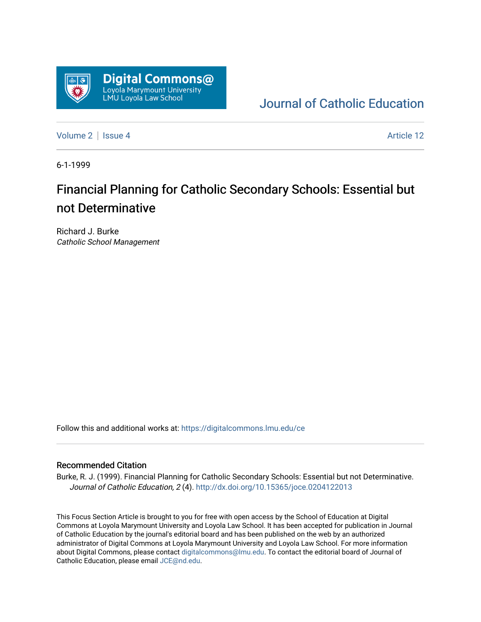

[Journal of Catholic Education](https://digitalcommons.lmu.edu/ce) 

[Volume 2](https://digitalcommons.lmu.edu/ce/vol2) | [Issue 4](https://digitalcommons.lmu.edu/ce/vol2/iss4) Article 12

6-1-1999

#### Financial Planning for Catholic Secondary Schools: Essential but not Determinative

Richard J. Burke Catholic School Management

Follow this and additional works at: [https://digitalcommons.lmu.edu/ce](https://digitalcommons.lmu.edu/ce?utm_source=digitalcommons.lmu.edu%2Fce%2Fvol2%2Fiss4%2F12&utm_medium=PDF&utm_campaign=PDFCoverPages)

#### Recommended Citation

Burke, R. J. (1999). Financial Planning for Catholic Secondary Schools: Essential but not Determinative. Journal of Catholic Education, 2 (4). <http://dx.doi.org/10.15365/joce.0204122013>

This Focus Section Article is brought to you for free with open access by the School of Education at Digital Commons at Loyola Marymount University and Loyola Law School. It has been accepted for publication in Journal of Catholic Education by the journal's editorial board and has been published on the web by an authorized administrator of Digital Commons at Loyola Marymount University and Loyola Law School. For more information about Digital Commons, please contact [digitalcommons@lmu.edu](mailto:digitalcommons@lmu.edu). To contact the editorial board of Journal of Catholic Education, please email [JCE@nd.edu.](mailto:JCE@nd.edu)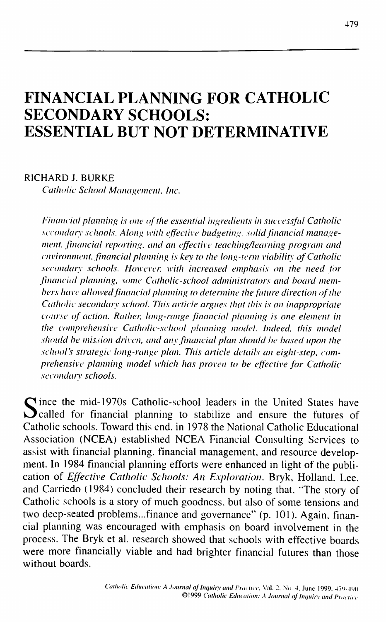# **FINANCIAL PLANNING FOR CATHOLIC SECONDARY SCHOOLS: ESSENTIAL BUT NOT DETERMINATIVE**

#### RICHARD J. BURKE

*Catholic School Management, Inc.* 

*Financial planning is one of the essential ingredients in successful Catholic secondary schools. Along with effective budgeting, solid financial management, financial reporting, and an effective teaching/learning program and chianment, financial planning is key to the long-term viability of Catholic secondary schools. However, with increased emphasis on the need for financial planning, some Catholic-school administrators and board members have allowed financial planning to determine the future direction of the Catholic secondaty school. This article argues that this is an inappropriate course of action. Rather, long-range financial planning is one element in the comprehensive Catholic-school planning model. Indeed, this model should be mission driven, and any financial plan should be based upon the school's strategic long-range plan. This article details an eight-step, comprehensive planning model which has proven to be effective for Catholic* secondary schools.

Since the mid-1970s Catholic-school leaders in the United States have<br>Called for financial planning to stabilize and ensure the futures of  $\Omega$  called for financial planning to stabilize and ensure the futures of Catholic schools. Toward this end, in 1978 the National Catholic Educational Association (NCEA) established NCEA Financial Consulting Services to assist with financial planning, financial management, and resource development. In 1984 financial planning efforts were enhanced in light of the publication of *Effective Catholic Schools: An Exploration.* Bryk, Holland, Lee, and Carriedo (1984) concluded their research by noting that, "The story of Catholie schools is a story of much goodness, but also of some tensions and two deep-seated problems...finance and governance" (p. 101). Again, financial planning was encouraged with emphasis on board involvement in the process. The Bryk et al. research showed that schools with effective boards were more financially viable and had brighter financial futures than those without boards.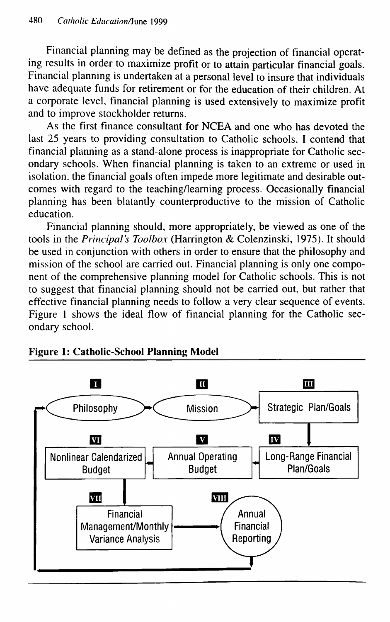Financial planning may be defined as the projection of financial operating results in order to maximize profit or to attain particular financial goals. Financial planning is undertaken at a personal level to insure that individuals have adequate funds for retirement or for the education of their children. At a corporate level, financial planning is used extensively to maximize profit and to improve stockholder returns.

As the first finance consultant for NCEA and one who has devoted the last 25 years to providing consultation to Catholic schools, I contend that financial planning as a stand-alone process is inappropriate for Catholic secondary schools. When financial planning is taken to an extreme or used in isolation, the financial goals often impede more legitimate and desirable outcomes with regard to the teaching/leaming process. Occasionally financial planning has been blatantly counterproductive to the mission of Catholic education.

Financial planning should, more appropriately, be viewed as one of the tools in the *Principal's Toolbox* (Harrington & Colenzinski, 1975). It should be used in conjunction with others in order to ensure that the philosophy and mission of the school are carried out. Financial planning is only one component of the comprehensive planning model for Catholic schools. This is not to suggest that financial planning should not be carried out, but rather that effective financial planning needs to follow a very clear sequence of events. Figure 1 shows the ideal flow of financial planning for the Catholic secondary school.



#### **Figure 1: Catholic-School Planning Model**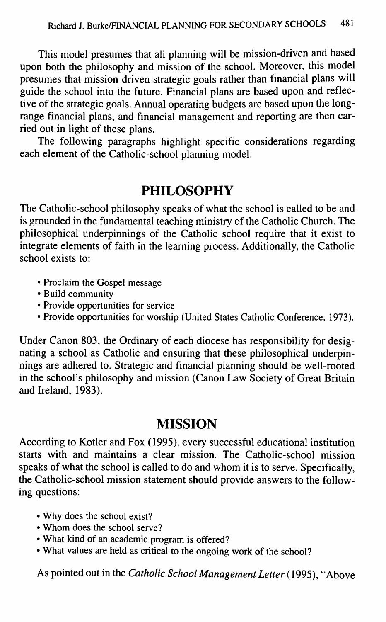**This model presumes that all planning will be mission-driven and based upon both the philosophy and mission of the school. Moreover, this model presumes that mission-driven strategic goals rather than financial plans will guide the school into the future. Financial plans are based upon and reflective of the strategic goals. Annual operating budgets are based upon the longrange financial plans, and financial management and reporting are then carried out in light of these plans.**

**The following paragraphs highlight specific considerations regarding each element of the Catholic-school planning model.**

### **PHILOSOPHY**

**The Catholic-school philosophy speaks of what the school is called to be and is grounded in the fundamental teaching ministry of the Catholic Church. The philosophical underpinnings of the Catholic school require that it exist to integrate elements of faith in the leaming process. Additionally, the Catholic school exists to:**

- **Proclaim the Gospel message**
- **Build community**
- **Provide opportunities for service**
- **Provide opportunities for worship (United States Catholic Conference, 1973).**

**Under Canon 803, the Ordinary of each diocese has responsibility for designating a school as Catholic and ensuring that these philosophical underpinnings are adhered to. Strategic and financial planning should be well-rooted in the school's philosophy and mission (Canon Law Society of Great Britain and Ireland, 1983).**

### **MISSION**

**According to Kotler and Fox (1995), every successful educational institution starts with and maintains a clear mission. The Catholic-school mission speaks of what the school is called to do and whom it is to serve. Specifically, the Catholic-school mission statement should provide answers to the following questions:**

- **Why does the school exist?**
- **Whom does the school serve?**
- **What kind of an academic program is offered?**
- **What values are held as critical to the ongoing work of the school?**

**As pointed out in the** *Catholic School Management Letter* **(1995), "Above**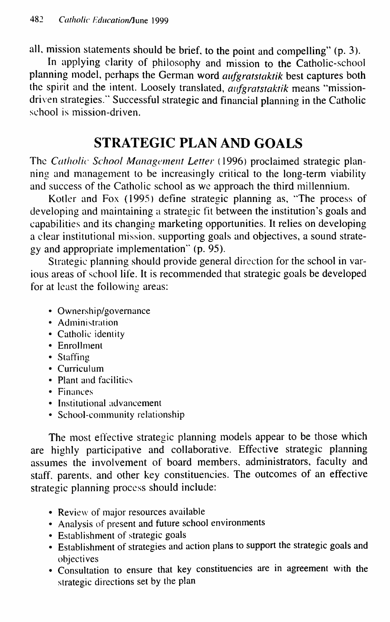all, mission statements should be brief, to the point and compelling" (p. 3).

In applying clarity of philosophy and mission to the Catholic-school planning model, perhaps the German word *aufgratstaktik* best captures both the spirit and the intent. Loosely translated, *aufgratstaktik* means "missiondriven strategies." Successful strategic and financial planning in the Catholic school is mission-driven.

### **STRATEGIC PLAN AND GOALS**

The *Catholic School Management Letter* (1996) proclaimed strategic planning and management to be increasingly critical to the long-term viability and success of the Catholic school as we approach the third millennium.

Kotler and Fox (1995) define strategic planning as, "The process of developing and maintaining a strategic fit between the institution's goals and capabilities and its changing marketing opportunities. It relies on developing a clear institutional mission, supporting goals and objectives, a sound strategy and appropriate implementation" (p. 95).

Strategic planning should provide general direction for the school in various areas of school life. It is recommended that strategic goals be developed for at least the following areas:

- Ownership/governance
- Administration
- Catholic identity
- Enrollment
- Staffing
- Curriculum
- Plant and facilities
- Finances
- Institutional advancement
- School-community relationship

The most effective strategic planning models appear to be those which are highly participative and collaborative. Effective strategic planning assumes the involvement of board members, administrators, faculty and staff, parents, and other key constituencies. The outcomes of an effective strategic planning process should include:

- Review of major resources available
- Analysis of present and future school environments
- Establishment of strategic goals
- Establishment of strategies and action plans to support the strategic goals and objectives
- Consultation to ensure that key constituencies are in agreement with the strategic directions set by the plan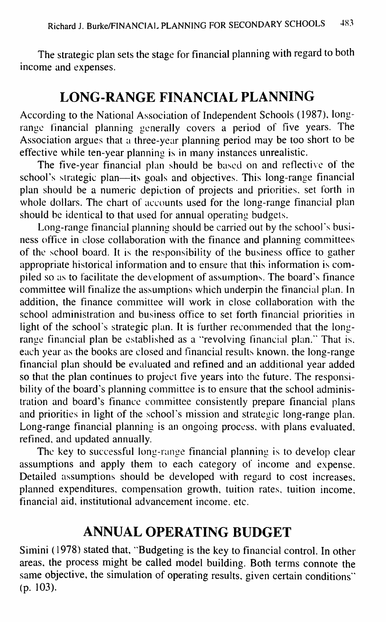The strategic plan sets the stage for financial planning with regard to both income and expenses.

### **LONG-RANGE EINANCIAL PLANNING**

According to the National Association of Independent Schools (1987), longrange financial planning generally covers a period of five years. The Association argues that a three-year planning period may be too short to be effective while ten-year planning is in many instances unrealistic.

The five-year financial plan should be based on and reflective of the school's strategic plan—its goals and objectives. This long-range financial plan should be a numeric depiction of projects and priorities, set forth in whole dollars. The chart of accounts used for the long-range financial plan should be identical to that used for annual operating budgets.

Long-range financial planning should be carried out by the school's business office in close collaboration with the finance and planning committees of the school board. It is the responsibility of the business office to gather appropriate historical information and to ensure that this information is compiled so as to facilitate the development of assumptions. The board's finance committee will finalize the assumptions which underpin the financial plan. In addition, the finance committee will work in close collaboration with the school administration and business office to set forth financial priorities in light of the school's strategic plan. It is further recommended that the longrange financial plan be established as a "revolving financial plan." That is. each year as the books are closed and financial results known, the long-range financial plan should be evaluated and refined and an additional year added so that the plan continues to project five years into the future. The responsibility of the board's planning committee is to ensure that the school administration and board's finance committee consistently prepare financial plans and priorities in light of the school's mission and strategic long-range plan. Long-range financial planning is an ongoing process, with plans evaluated, refined, and updated annually.

The key to successful long-range financial planning is to develop clear assumptions and apply them to each category of income and expense. Detailed assumptions should be developed with regard to cost increases, planned expenditures, compensation growth, tuition rates, tuition income, financial aid, institutional advancement income, etc.

### **ANNUAL OPERATING BUDGET**

Simini (1978) stated that, "Budgeting is the key to financial control. In other areas, the process might be called model building. Both terms connote the same objective, the simulation of operating results, given certain conditions" (p. 103).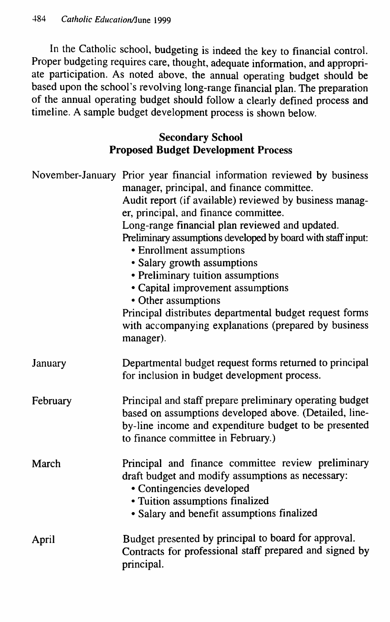In the Catholic school, budgeting is indeed the key to financial control. Proper budgeting requires care, thought, adequate information, and appropriate participation. As noted above, the annual operating budget should be based upon the school's revolving long-range financial plan. The preparation of the annual operating budget should follow a clearly defined process and timeline. A sample budget development process is shown below.

#### **Secondary School Proposed Budget Development Process**

|          | November-January Prior year financial information reviewed by business<br>manager, principal, and finance committee.<br>Audit report (if available) reviewed by business manag-<br>er, principal, and finance committee.<br>Long-range financial plan reviewed and updated.<br>Preliminary assumptions developed by board with staff input:<br>• Enrollment assumptions<br>• Salary growth assumptions<br>• Preliminary tuition assumptions<br>• Capital improvement assumptions<br>• Other assumptions |  |  |  |  |
|----------|---------------------------------------------------------------------------------------------------------------------------------------------------------------------------------------------------------------------------------------------------------------------------------------------------------------------------------------------------------------------------------------------------------------------------------------------------------------------------------------------------------|--|--|--|--|
|          | Principal distributes departmental budget request forms<br>with accompanying explanations (prepared by business<br>manager).                                                                                                                                                                                                                                                                                                                                                                            |  |  |  |  |
| January  | Departmental budget request forms returned to principal<br>for inclusion in budget development process.                                                                                                                                                                                                                                                                                                                                                                                                 |  |  |  |  |
| February | Principal and staff prepare preliminary operating budget<br>based on assumptions developed above. (Detailed, line-<br>by-line income and expenditure budget to be presented<br>to finance committee in February.)                                                                                                                                                                                                                                                                                       |  |  |  |  |
| March    | Principal and finance committee review preliminary<br>draft budget and modify assumptions as necessary:<br>• Contingencies developed<br>• Tuition assumptions finalized<br>• Salary and benefit assumptions finalized                                                                                                                                                                                                                                                                                   |  |  |  |  |
| April    | Budget presented by principal to board for approval.<br>Contracts for professional staff prepared and signed by<br>principal.                                                                                                                                                                                                                                                                                                                                                                           |  |  |  |  |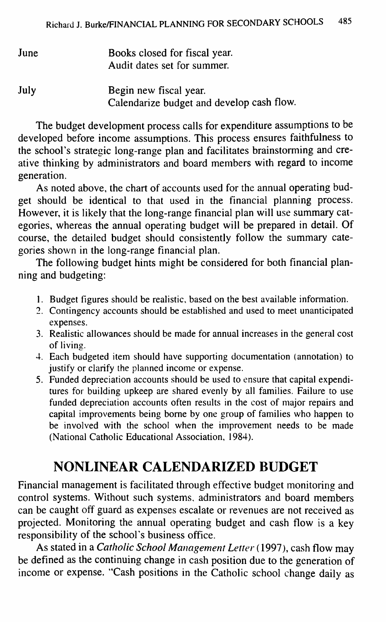| June | Books closed for fiscal year.<br>Audit dates set for summer.        |  |  |  |  |
|------|---------------------------------------------------------------------|--|--|--|--|
| July | Begin new fiscal year.<br>Calendarize budget and develop cash flow. |  |  |  |  |

The budget development process calls for expenditure assumptions to be developed before income assumptions. This process ensures faithfulness to the school's strategic long-range plan and facilitates brainstorming and creative thinking by administrators and board members with regard to income generation.

As noted above, the chart of accounts used for the annual operating budget should be identical to that used in the financial planning process. However, it is likely that the long-range financial plan will use summary categories, whereas the annual operating budget will be prepared in detail. Of course, the detailed budget should consistently follow the summary categories shown in the long-range financial plan.

The following budget hints might be considered for both financial planning and budgeting:

- 1. Budget figures should be realistic, based on the best available information.
- 2. Contingency accounts should be established and used to meet unanticipated expenses.
- 3. Realistic allowances should be made for annual increases in the general cost of living.
- 4. Each budgeted item should have supporting documentation (annotation) to justify or clarify the planned income or expense.
- 5. Funded depreciation accounts should be used to ensure that capital expenditures for building upkeep are shared evenly by all families. Failure to use funded depreciation accounts often results in the cost of major repairs and capital improvements being borne by one group of families who happen to be involved with the school when the improvement needs to be made (National Catholic Educational Association, 1984).

## **NONLINEAR CALENDARIZED BUDGET**

Financial management is facilitated through effective budget monitoring and control systems. Without such systems, administrators and board members can be caught off guard as expenses escalate or revenues are not received as projected. Monitoring the annual operating budget and cash flow is a key responsibility of the school's business office.

**As stated in a** *Catholic School Management Letter* **(1997), cash flow may** be defined as the continuing change in cash position due to the generation of income or expense. "Cash positions in the Catholic school change daily as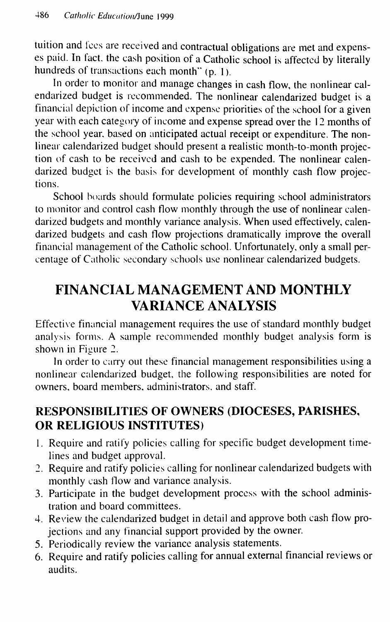tuition and fees are received and contractual obligations are met and expenses paid. In fact, the cash position of a Catholic school is affected by literally hundreds of transactions each month" (p. 1).

In order to monitor and manage changes in cash flow, the nonlinear calendarized budget is recommended. The nonlinear calendarized budget is a financial depiction of income and expense priorities of the school for a given year with each category of income and expense spread over the 12 months of the school year, based on anticipated actual receipt or expenditure. The nonlinear calendarized budget should present a realistic month-to-month projection of cash to be received and cash to be expended. The nonlinear calendarized budget is the basis for development of monthly cash flow projections.

School boards should formulate policies requiring school administrators to monitor and control cash flow monthly through the use of nonlinear calendarized budgets and monthly variance analysis. When used effectively, calendarized budgets and cash flow projections dramatically improve the overall financial management of the Catholic school. Unfortunately, only a small percentage of Catholic secondary schools use nonlinear calendarized budgets.

## **EINANCIAL MANAGEMENT AND MONTHLY VARIANCE ANALYSIS**

Effective financial management requires the use of standard monthly budget analysis forms. A sample recommended monthly budget analysis form is shown in Figure 2.

In order to cany out these financial management responsibilities using a nonlinear calendarized budget, the following responsibilities are noted for owners, board members, administrators, and staff.

### **RESPONSIBILITIES OF OWNERS (DIOCESES, PARISHES, OR RELIGIOUS INSTITUTES)**

- 1. Require and ratify policies calling for specific budget development timelines and budget approval.
- 2. Require and ratify policies calling for nonlinear calendarized budgets with monthly cash flow and variance analysis.
- 3. Participate in the budget development process with the school administration and board committees.
- 4. Review the calendarized budget in detail and approve both cash flow projections and any financial support provided by the owner.
- 5. Periodically review the variance analysis statements.
- 6. Require and ratify policies calling for annual extemal financial reviews or audits.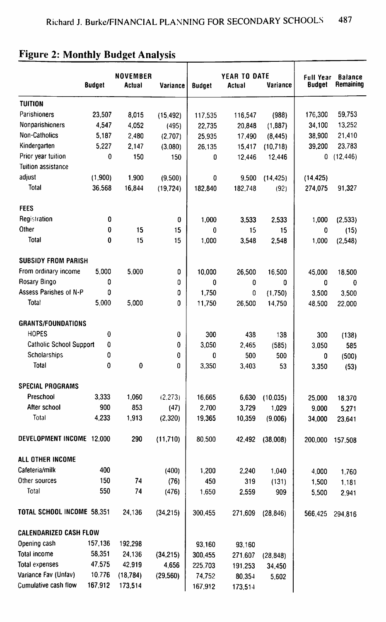|                                               | <b>Budget</b>    | <b>NOVEMBER</b><br><b>Actual</b> | Variance     | <b>Budget</b> | YEAR TO DATE<br><b>Actual</b> | Variance  | <b>Full Year</b><br><b>Budget</b> | <b>Balance</b><br>Remaining |
|-----------------------------------------------|------------------|----------------------------------|--------------|---------------|-------------------------------|-----------|-----------------------------------|-----------------------------|
| <b>TUITION</b>                                |                  |                                  |              |               |                               |           |                                   |                             |
| Parishioners                                  | 23,507           | 8,015                            | (15, 492)    | 117,535       | 116,547                       | (988)     | 176,300                           | 59,753                      |
| <b>Nonparishioners</b>                        | 4,547            | 4,052                            | (495)        | 22,735        | 20,848                        | (1,887)   | 34,100                            | 13,252                      |
| Non-Catholics                                 | 5,187            | 2,480                            | (2,707)      | 25,935        | 17,490                        | (8, 445)  | 38,900                            | 21,410                      |
| Kindergarten                                  | 5,227            | 2,147                            | (3,080)      | 26,135        | 15,417                        | (10, 718) | 39,200                            | 23,783                      |
| Prior year tuition                            | $\boldsymbol{0}$ | 150                              | 150          | 0             | 12,446                        | 12,446    | 0                                 | (12, 446)                   |
| <b>Tuition assistance</b>                     |                  |                                  |              |               |                               |           |                                   |                             |
| adjust                                        | (1,900)          | 1,900                            | (9,500)      | $\bf{0}$      | 9,500                         | (14, 425) | (14, 425)                         |                             |
| Total                                         | 36.568           | 16,844                           | (19, 724)    | 182,840       | 182,748                       | (92)      | 274,075                           | 91,327                      |
|                                               |                  |                                  |              |               |                               |           |                                   |                             |
| <b>FEES</b>                                   |                  |                                  |              |               |                               |           |                                   |                             |
| Registration                                  | 0                |                                  | $\bf{0}$     | 1,000         | 3,533                         | 2,533     | 1,000                             | (2,533)                     |
| Other                                         | $\bf{0}$         | 15                               | 15           | $\bf{0}$      | 15                            | 15        | 0                                 | (15)                        |
| <b>Total</b>                                  | 0                | 15                               | 15           | 1,000         | 3,548                         | 2,548     | 1,000                             | (2,548)                     |
| <b>SUBSIDY FROM PARISH</b>                    |                  |                                  |              |               |                               |           |                                   |                             |
| From ordinary income                          | 5,000            | 5,000                            |              |               |                               |           |                                   |                             |
| Rosary Bingo                                  | 0                |                                  | 0            | 10,000        | 26,500                        | 16,500    | 45,000                            | 18,500                      |
| <b>Assess Parishes of N-P</b>                 | 0                |                                  | 0            | 0             | 0                             | 0         | 0                                 | $\boldsymbol{0}$            |
| Total                                         | 5,000            | 5,000                            | 0<br>0       | 1,750         | 0                             | (1,750)   | 3,500                             | 3,500                       |
|                                               |                  |                                  |              | 11,750        | 26,500                        | 14,750    | 48,500                            | 22,000                      |
| <b>GRANTS/FOUNDATIONS</b>                     |                  |                                  |              |               |                               |           |                                   |                             |
| <b>HOPES</b>                                  | 0                |                                  | 0            | 300           | 438                           | 138       | 300                               | (138)                       |
| <b>Catholic School Support</b>                | 0                |                                  | $\mathbf{0}$ | 3,050         | 2,465                         | (585)     | 3,050                             | 585                         |
| Scholarships                                  | 0                |                                  | 0            | 0             | 500                           | 500       | 0                                 | (500)                       |
| <b>Total</b>                                  | 0                | $\pmb{0}$                        | 0            | 3,350         | 3,403                         | 53        | 3,350                             | (53)                        |
|                                               |                  |                                  |              |               |                               |           |                                   |                             |
| <b>SPECIAL PROGRAMS</b>                       |                  |                                  |              |               |                               |           |                                   |                             |
| Preschool                                     | 3,333            | 1,060                            | (2, 273)     | 16,665        | 6,630                         | (10.035)  | 25,000                            | 18,370                      |
| After school                                  | 900              | 853                              | (47)         | 2,700         | 3,729                         | 1,029     | 9,000                             | 5,271                       |
| Total                                         | 4,233            | 1,913                            | (2,320)      | 19,365        | 10,359                        | (9,006)   | 34,000                            | 23,641                      |
| DEVELOPMENT INCOME 12,000                     |                  | 290                              | (11,710)     | 80,500        | 42,492                        | (38,008)  | 200,000                           | 157,508                     |
| ALL OTHER INCOME                              |                  |                                  |              |               |                               |           |                                   |                             |
| Cafeteria/milk                                | 400              |                                  | (400)        | 1,200         | 2,240                         | 1,040     | 4,000                             | 1,760                       |
| Other sources                                 | 150              | 74                               | (76)         | 450           | 319                           | (131)     | 1,500                             | 1,181                       |
| Total                                         | 550              | 74                               | (476)        | 1,650         | 2,559                         | 909       | 5,500                             | 2,941                       |
| TOTAL SCHOOL INCOME 58,351                    |                  | 24,136                           | (34, 215)    | 300,455       | 271,609                       | (28, 846) | 566,425                           | 294,816                     |
|                                               |                  |                                  |              |               |                               |           |                                   |                             |
| <b>CALENDARIZED CASH FLOW</b><br>Opening cash | 157,136          |                                  |              |               |                               |           |                                   |                             |
| <b>Total income</b>                           | 58,351           | 192,298<br>24,136                |              | 93,160        | 93,160                        |           |                                   |                             |
| <b>Total expenses</b>                         | 47,575           | 42,919                           | (34, 215)    | 300,455       | 271,607                       | (28, 848) |                                   |                             |
| Variance Fav (Unfav)                          | 10.776           |                                  | 4,656        | 225.703       | 191,253                       | 34,450    |                                   |                             |
| <b>Cumulative cash flow</b>                   | 167,912          | (18, 784)<br>173,514             | (29, 560)    | 74,752        | 80,354                        | 5,602     |                                   |                             |
|                                               |                  |                                  |              | 167,912       | 173,514                       |           |                                   |                             |

#### **Figure 2: Monthly Budget Analysis**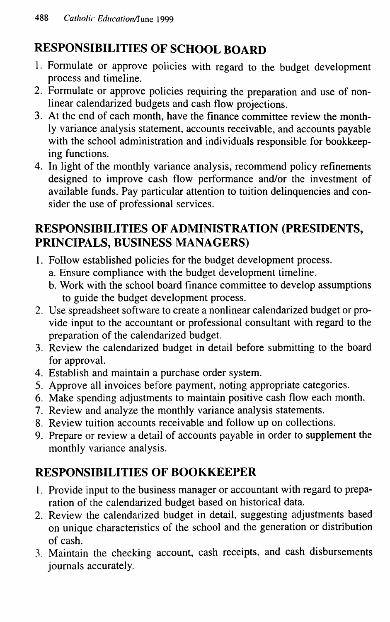### **RESPONSIBILITIES OF SCHOOL BOARD**

- 1. Formulate or approve policies with regard to the budget development process and timeline.
- 2. Formulate or approve policies requiring the preparation and use of nonlinear calendarized budgets and cash flow projections.
- 3. At the end of each month, have the finance committee review the monthly variance analysis statement, accounts receivable, and accounts payable with the school administration and individuals responsible for bookkeeping functions.
- 4. In light of the monthly variance analysis, recommend policy refinements designed to improve cash flow performance and/or the investment of available funds. Pay particular attention to tuition delinquencies and consider the use of professional services.

### **RESPONSIBILITIES OF ADMINISTRATION (PRESTOENTS, PRINCIPALS, BUSINESS MANAGERS)**

- 1. Follow established policies for the budget development process.
	- a. Ensure compliance with the budget development timeline.
	- b. Work with the school board finance committee to develop assumptions to guide the budget development process.
- 2. Use spreadsheet software to create a nonlinear calendarized budget or provide input to the accountant or professional consultant with regard to the preparation of the calendarized budget.
- 3. Review the calendarized budget in detail before submitting to the board for approval.
- 4. Establish and maintain a purchase order system.
- 5. Approve all invoices before payment, noting appropriate categories.
- 6. Make spending adjustments to maintain positive cash flow each month.
- 7. Review and analyze the monthly variance analysis statements.
- 8. Review tuition accounts receivable and follow up on collections.
- 9. Prepare or review a detail of accounts payable in order to supplement the monthly variance analysis.

### **RESPONSIBILITIES OF BOOKKEEPER**

- 1. Provide input to the business manager or accountant with regard to preparation of the calendarized budget based on historical data.
- 2. Review the calendarized budget in detail, suggesting adjustments based on unique characteristics of the school and the generation or distribution of cash.
- 3. Maintain the checking account, cash receipts, and cash disbursements journals accurately.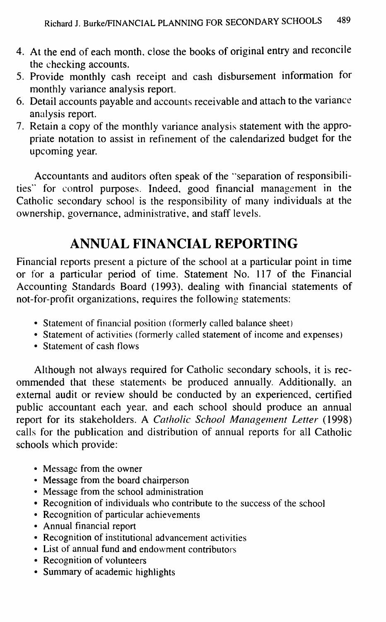- 4. At the end of each month, close the books of original entry and reconcile the checking accounts.
- 5. Provide monthly cash receipt and cash disbursement information for monthly variance analysis report.
- 6. Detail accounts payable and accounts receivable and attach to the variance analysis report.
- 7. Retain a copy of the monthly variance analysis statement with the appropriate notation to assist in refinement of the calendarized budget for the upcoming year.

Accountants and auditors often speak of the "separation of responsibilities" for control purposes. Indeed, good financial management in the Catholic secondary school is the responsibility of many individuals at the ownership, governance, administrative, and staff levels.

### **ANNUAL FINANCIAL REPORTING**

Financial reports present a picture of the school at a particular point in time or for a particular period of time. Statement No. 117 of the Financial Accounting Standards Board (1993), dealing with financial statements of not-for-profit organizations, requires the following statements:

- Statement of financial position (formerly called balance sheet)
- Statement of activities (formerly called statement of income and expenses)
- Statement of cash flows

Although not always required for Catholic secondary schools, it is recommended that these statements be produced annually. Additionally, an extemal audit or review should be conducted by an experienced, certified public accountant each year, and each school should produce an annual report for its stakeholders. A *Catholic School Management Letter* (1998) calls for the publication and distribution of annual reports for all Catholic schools which provide:

- Message from the owner
- Message from the board chairperson
- Message from the school administration
- Recognition of individuals who contribute to the success of the school
- Recognition of particular achievements
- Annual financial report
- Recognition of institutional advancement activities
- List of annual fund and endowment contributors
- Recognition of volunteers
- Summary of academic highlights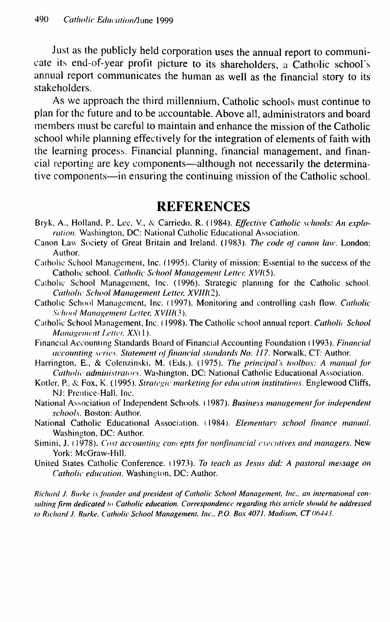Just as the publicly held corporation uses the annual report to communicate its end-of-year profit picture to its shareholders, a Catholic school's annual report communicates the human as well as the financial story to its stakeholders.

As we approach the third millennium. Catholic schools must continue to plan for the future and to be accountable. Above all, administrators and board members must be careful to maintain and enhance the mission of the Catholic school while planning effectively for the integration of elements of faith with the leaming process. Financial planning, financial management, and financial reporting are key components—although not necessarily the determinative components—in ensuring the continuing mission of the Catholic school.

#### REFERENCES

- Bryk, A., Holland, P., Lee, V., & Carriedo, R. (1984). *Effective Catholic schools: An exploration.* Washington, DC: National Catholic Educational Association.
- Canon Law Society of Great Britain and Ireland. (1983). The code of canon law. London: Author.
- Catholic School Management, Inc. (1995). Clarity of mission: Essential to the success of the Catholic school. Catholic School Management Letter, XVI(5).
- Catholic School Management, Inc. (1996). Strategic planning for the Catholic school. **Catholic School Management Letter, XVIII(2).**
- Catholic School Management, Inc. (1997). Monitoring and controlling cash flow. *Catholic School Management Letter, XVIII(3).*
- Catholic School Management, Inc. (1998). The Catholic school annual report. *Catholic School Management Letter, XX(1).*
- Financial Accounting Standards Board of Financial Accounting Foundation (1993). *Fitiaticial accounting series. Statement of financial standards No. 117. Norwalk, CT: Author.*
- Harrington, E., & Colenzinski, M. (Eds.). (1975). *The principal's toolbox: A manual for Catholic administrators.* Washington. DC: National Catholic Educational Association.
- Kotler, P., & Fox, K. (1995). *Strategic marketing for education institutions.* Englewood Cliffs, NJ: Prentice-Hall. Inc.
- National Association of Independent Schools. (1987). Business management for independent *schools.* Boston: Author.
- National Catholic Educational Association. (1984). *Elementary school finance manual*. Washington, DC: Author.
- Simini, J. (1978). *Cost accounting concepts for nonfinancial executives and managers*. New York: McGraw-Hill.
- United States Catholic Conference. (1973). To teach as Jesus did: A pastoral message on *Catholic education.* Washington, DC: Author.

Richard J. Burke is founder and president of Catholic School Management, Inc., an international consulting firm dedicated to Catholic education. Correspondence regarding this article should be addressed to Richard J. Burke, Catholic School Management, Inc., P.O. Box 4071. Madison, CT 06443.